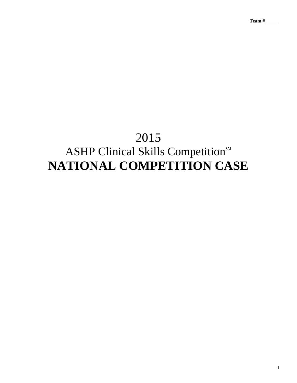1

## 2015 ASHP Clinical Skills Competition<sup>SM</sup> **NATIONAL COMPETITION CASE**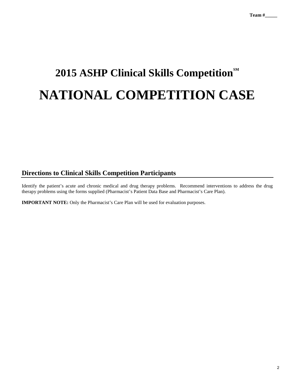## **2015 ASHP Clinical Skills Competition**<sup>SM</sup> **NATIONAL COMPETITION CASE**

#### **Directions to Clinical Skills Competition Participants**

Identify the patient's acute and chronic medical and drug therapy problems. Recommend interventions to address the drug therapy problems using the forms supplied (Pharmacist's Patient Data Base and Pharmacist's Care Plan).

**IMPORTANT NOTE:** Only the Pharmacist's Care Plan will be used for evaluation purposes.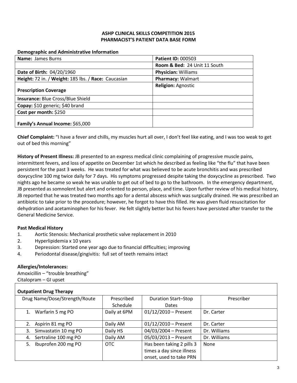#### **ASHP CLINICAL SKILLS COMPETITION 2015 PHARMACIST'S PATIENT DATA BASE FORM**

**Demographic and Administrative Information**

| <b>Name: James Burns</b>                            | <b>Patient ID: 000503</b>    |
|-----------------------------------------------------|------------------------------|
|                                                     | Room & Bed: 24 Unit 11 South |
| Date of Birth: 04/20/1960                           | <b>Physician: Williams</b>   |
| Height: 72 in. / Weight: 185 lbs. / Race: Caucasian | Pharmacy: Walmart            |
| <b>Prescription Coverage</b>                        | <b>Religion: Agnostic</b>    |
| <b>Insurance: Blue Cross/Blue Shield</b>            |                              |
| Copay: \$10 generic; \$40 brand                     |                              |
| Cost per month: \$250                               |                              |
| Family's Annual Income: \$65,000                    |                              |

**Chief Complaint:** "I have a fever and chills, my muscles hurt all over, I don't feel like eating, and I was too weak to get out of bed this morning"

**History of Present Illness:** JB presented to an express medical clinic complaining of progressive muscle pains, intermittent fevers, and loss of appetite on December 1st which he described as feeling like "the flu" that have been persistent for the past 3 weeks. He was treated for what was believed to be acute bronchitis and was prescribed doxycycline 100 mg twice daily for 7 days. His symptoms progressed despite taking the doxycycline as prescribed. Two nights ago he became so weak he was unable to get out of bed to go to the bathroom. In the emergency department, JB presented as somnolent but alert and oriented to person, place, and time. Upon further review of his medical history, JB reported that he was treated two months ago for a dental abscess which was surgically drained. He was prescribed an antibiotic to take prior to the procedure; however, he forgot to have this filled. He was given fluid resuscitation for dehydration and acetaminophen for his fever. He felt slightly better but his fevers have persisted after transfer to the General Medicine Service.

#### **Past Medical History**

- 1. Aortic Stenosis: Mechanical prosthetic valve replacement in 2010
- 2. Hyperlipidemia x 10 years
- 3. Depression: Started one year ago due to financial difficulties; improving
- 4. Periodontal disease/gingivitis: full set of teeth remains intact

#### **Allergies/Intolerances:**

Amoxicillin – "trouble breathing"

Citalopram – GI upset

| <b>Outpatient Drug Therapy</b> |              |                           |              |
|--------------------------------|--------------|---------------------------|--------------|
| Drug Name/Dose/Strength/Route  | Prescribed   | Duration Start-Stop       | Prescriber   |
|                                | Schedule     | Dates                     |              |
| 1. Warfarin 5 mg PO            | Daily at 6PM | $01/12/2010$ – Present    | Dr. Carter   |
|                                |              |                           |              |
| Aspirin 81 mg PO<br>2.         | Daily AM     | $01/12/2010$ – Present    | Dr. Carter   |
| Simvastatin 10 mg PO<br>3.     | Daily HS     | 04/03/2004 - Present      | Dr. Williams |
| Sertraline 100 mg PO<br>4.     | Daily AM     | 05/03/2013 - Present      | Dr. Williams |
| Ibuprofen 200 mg PO<br>5.      | <b>OTC</b>   | Has been taking 2 pills 3 | None         |
|                                |              | times a day since illness |              |
|                                |              | onset, used to take PRN   |              |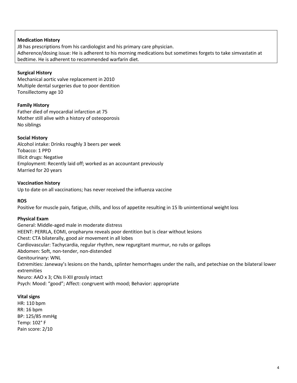#### **Medication History**

JB has prescriptions from his cardiologist and his primary care physician. Adherence/dosing issue: He is adherent to his morning medications but sometimes forgets to take simvastatin at bedtime. He is adherent to recommended warfarin diet.

#### **Surgical History**

Mechanical aortic valve replacement in 2010 Multiple dental surgeries due to poor dentition Tonsillectomy age 10

#### **Family History**

Father died of myocardial infarction at 75 Mother still alive with a history of osteoporosis No siblings

#### **Social History**

Alcohol intake: Drinks roughly 3 beers per week Tobacco: 1 PPD Illicit drugs: Negative Employment: Recently laid off; worked as an accountant previously Married for 20 years

#### **Vaccination history**

Up to date on all vaccinations; has never received the influenza vaccine

#### **ROS**

Positive for muscle pain, fatigue, chills, and loss of appetite resulting in 15 lb unintentional weight loss

#### **Physical Exam**

General: Middle-aged male in moderate distress HEENT: PERRLA, EOMI, oropharynx reveals poor dentition but is clear without lesions Chest: CTA bilaterally, good air movement in all lobes Cardiovascular: Tachycardia, regular rhythm, new regurgitant murmur, no rubs or gallops Abdomen: Soft, non-tender, non-distended Genitourinary: WNL Extremities: Janeway's lesions on the hands, splinter hemorrhages under the nails, and petechiae on the bilateral lower extremities Neuro: AAO x 3; CNs II-XII grossly intact Psych: Mood: "good"; Affect: congruent with mood; Behavior: appropriate

#### **Vital signs**

HR: 110 bpm RR: 16 bpm BP: 125/85 mmHg Temp: 102° F Pain score: 2/10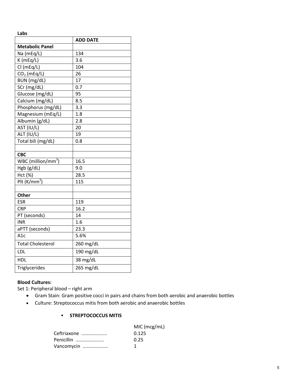|                                | <b>ADD DATE</b> |
|--------------------------------|-----------------|
| <b>Metabolic Panel</b>         |                 |
| Na (mEq/L)                     | 134             |
| K(mEq/L)                       | 3.6             |
| CI (mEq/L)                     | 104             |
| $CO2$ (mEq/L)                  | 26              |
| BUN (mg/dL)                    | 17              |
| SCr (mg/dL)                    | 0.7             |
| Glucose (mg/dL)                | 95              |
| Calcium (mg/dL)                | 8.5             |
| Phosphorus (mg/dL)             | 3.3             |
| Magnesium (mEq/L)              | 1.8             |
| Albumin (g/dL)                 | 2.8             |
| AST (IU/L)                     | 20              |
| ALT (IU/L)                     | 19              |
| Total bili (mg/dL)             | 0.8             |
|                                |                 |
| <b>CBC</b>                     |                 |
| WBC (million/mm <sup>3</sup> ) | 16.5            |
| Hgb (g/dL)                     | 9.0             |
| Hct (%)                        | 28.5            |
| Plt $(K/mm^3)$                 | 115             |
|                                |                 |
| Other                          |                 |
| <b>ESR</b>                     | 119             |
| <b>CRP</b>                     | 16.2            |
| PT (seconds)                   | 14              |
| <b>INR</b>                     | 1.6             |
| aPTT (seconds)                 | 23.3            |
| A <sub>1</sub> c               | 5.6%            |
| <b>Total Cholesterol</b>       | 260 mg/dL       |
| <b>LDL</b>                     | 190 mg/dL       |
| <b>HDL</b>                     | 38 mg/dL        |
| Triglycerides                  | 265 mg/dL       |

#### **Blood Cultures:**

**Labs**

Set 1: Peripheral blood – right arm

- Gram Stain: Gram positive cocci in pairs and chains from both aerobic and anaerobic bottles
- Culture: Streptococcus mitis from both aerobic and anaerobic bottles

#### **STREPTOCOCCUS MITIS**

|             | $MIC$ (mcg/mL) |
|-------------|----------------|
| Ceftriaxone | 0.125          |
| Penicillin  | 0.25           |
| Vancomycin  |                |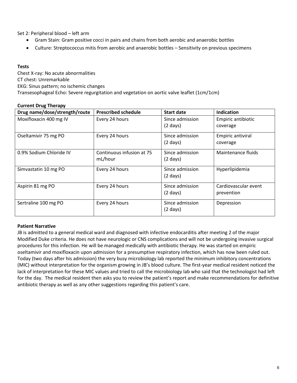Set 2: Peripheral blood – left arm

- Gram Stain: Gram positive cocci in pairs and chains from both aerobic and anaerobic bottles
- Culture: Streptococcus mitis from aerobic and anaerobic bottles Sensitivity on previous specimens

#### **Tests**

Chest X-ray: No acute abnormalities CT chest: Unremarkable EKG: Sinus pattern; no ischemic changes Transesophageal Echo: Severe regurgitation and vegetation on aortic valve leaflet (1cm/1cm)

#### **Current Drug Therapy**

| Drug name/dose/strength/route | <b>Prescribed schedule</b> | <b>Start date</b>  | Indication           |
|-------------------------------|----------------------------|--------------------|----------------------|
| Moxifloxacin 400 mg IV        | Every 24 hours             | Since admission    | Empiric antibiotic   |
|                               |                            | $(2 \text{ days})$ | coverage             |
| Oseltamivir 75 mg PO          | Every 24 hours             | Since admission    | Empiric antiviral    |
|                               |                            | $(2 \text{ days})$ | coverage             |
| 0.9% Sodium Chloride IV       | Continuous infusion at 75  | Since admission    | Maintenance fluids   |
|                               | mL/hour                    | $(2 \text{ days})$ |                      |
| Simvastatin 10 mg PO          | Every 24 hours             | Since admission    | Hyperlipidemia       |
|                               |                            | $(2 \text{ days})$ |                      |
| Aspirin 81 mg PO              | Every 24 hours             | Since admission    | Cardiovascular event |
|                               |                            | $(2 \text{ days})$ | prevention           |
| Sertraline 100 mg PO          | Every 24 hours             | Since admission    | Depression           |
|                               |                            | $(2 \text{ days})$ |                      |

#### **Patient Narrative**

JB is admitted to a general medical ward and diagnosed with infective endocarditis after meeting 2 of the major Modified Duke criteria. He does not have neurologic or CNS complications and will not be undergoing invasive surgical procedures for this infection. He will be managed medically with antibiotic therapy. He was started on empiric oseltamivir and moxifloxacin upon admission for a presumptive respiratory infection, which has now been ruled out. Today (two days after his admission) the very busy microbiology lab reported the minimum inhibitory concentrations (MIC) without interpretation for the organism growing in JB's blood culture. The first-year medical resident noticed the lack of interpretation for these MIC values and tried to call the microbiology lab who said that the technologist had left for the day. The medical resident then asks you to review the patient's report and make recommendations for definitive antibiotic therapy as well as any other suggestions regarding this patient's care.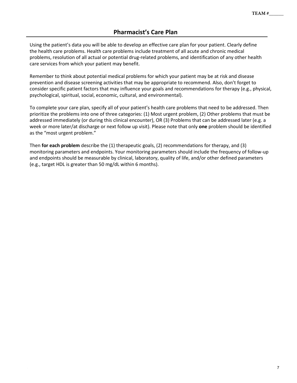Using the patient's data you will be able to develop an effective care plan for your patient. Clearly define the health care problems. Health care problems include treatment of all acute and chronic medical problems, resolution of all actual or potential drug-related problems, and identification of any other health care services from which your patient may benefit.

Remember to think about potential medical problems for which your patient may be at risk and disease prevention and disease screening activities that may be appropriate to recommend. Also, don't forget to consider specific patient factors that may influence your goals and recommendations for therapy (e.g., physical, psychological, spiritual, social, economic, cultural, and environmental).

To complete your care plan, specify all of your patient's health care problems that need to be addressed. Then prioritize the problems into one of three categories: (1) Most urgent problem, (2) Other problems that must be addressed immediately (or during this clinical encounter), OR (3) Problems that can be addressed later (e.g. a week or more later/at discharge or next follow up visit). Please note that only **one** problem should be identified as the "most urgent problem."

Then **for each problem** describe the (1) therapeutic goals, (2) recommendations for therapy, and (3) monitoring parameters and endpoints. Your monitoring parameters should include the frequency of follow-up and endpoints should be measurable by clinical, laboratory, quality of life, and/or other defined parameters (e.g., target HDL is greater than 50 mg/dL within 6 months).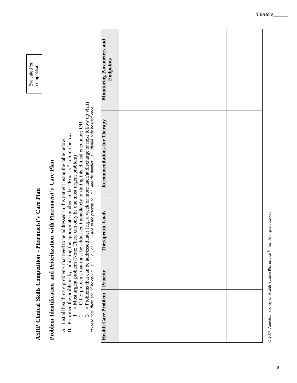Evaluated for Evaluated for competition competition

## ASHP Clinical Skills Competition - Pharmacist's Care Plan **ASHP Clinical Skills Competition - Pharmacist's Care Plan**

# Problem Identification and Prioritization with Pharmacist's Care Plan **Problem Identification and Prioritization with Pharmacist's Care Plan**

- A. List all health care problems that need to be addressed in this patient using the table below. A. List all health care problems that need to be addressed in this patient using the table below.
- B. Prioritize the problems by indicating the appropriate number in the "Priority" column below: B. Prioritize the problems by indicating the appropriate number in the "Priority " column below:
	- $=$  Most urgent problem (Note: There can only be one most urgent problem)  $1 =$  Most urgent problem (Note: There can only be one most urgent problem)
- = Other problems that must be addressed immediately or during this clinical encounter; OR 2 = Other problems that must be addressed immediately or during this clinical encounter; **OR**  $\overline{\mathcal{L}}$
- 3 = Problems that can be addressed later (e.g. a week or more later/at discharge or next follow up visit**)**

3 = Problems that can be addressed later (e.g. a week or more later/at discharge or next follow up visit)<br>\*Please note, there should be only a "1", "2", or "3" listed in the priority column, and the number "1" should only \**Please note, there should be only a "1", " 2", or "3" listed in the priority column, and the number "1" should only be used onc*e.

| Monitoring Parameters and<br>Endpoints |  |  |
|----------------------------------------|--|--|
| Recommendations for Therapy            |  |  |
| Therapeutic Goals                      |  |  |
|                                        |  |  |
| <b>Health Care Problem</b> Priority    |  |  |

© 2007, American Society of Health-System Pharmacists®, Inc. All rights reserved. © 2007, American Society of Health-System Pharmacists®, Inc. All rights reserved.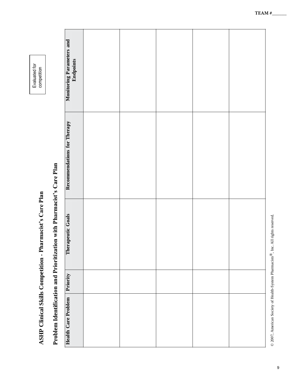Evaluated for competition

Evaluated for<br>competition

Problem Identification and Prioritization with Pharmacist's Care Plan **Problem Identification and Prioritization with Pharmacist's Care Plan**

| <b>Monitoring Parameters and<br/>Endpoints</b> |  |  |  |
|------------------------------------------------|--|--|--|
| Recommendations for Therapy                    |  |  |  |
| Therapeutic Goals                              |  |  |  |
| Priority                                       |  |  |  |
| Health Care Problem                            |  |  |  |

© 2007, American Society of Health-System Pharmacists®, Inc. All rights reserved. © 2007, American Society of Health-System Pharmacists®, Inc. All rights reserved.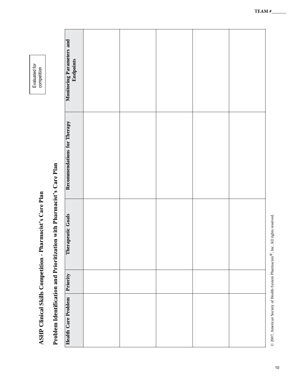Evaluated for competition

Evaluated for<br>competition

Problem Identification and Prioritization with Pharmacist's Care Plan **Problem Identification and Prioritization with Pharmacist's Care Plan**

| Monitoring Parameters and<br>Endpoints |  |  |  |
|----------------------------------------|--|--|--|
| Recommendations for Therapy            |  |  |  |
| Therapeutic Goals                      |  |  |  |
| Priority                               |  |  |  |
| <b>Health Care Problem</b>             |  |  |  |

© 2007, American Society of Health-System Pharmacists®, Inc. All rights reserved. © 2007, American Society of Health-System Pharmacists®, Inc. All rights reserved.

10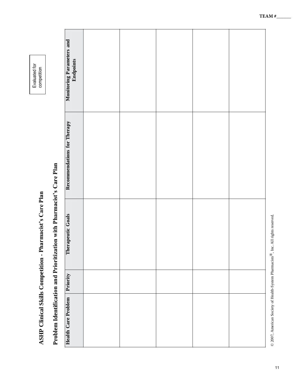Evaluated for<br>competition Evaluated for competition

> ASHP Clinical Skills Competition - Pharmacist's Care Plan **ASHP Clinical Skills Competition - Pharmacist's Care Plan**

Problem Identification and Prioritization with Pharmacist's Care Plan **Problem Identification and Prioritization with Pharmacist's Care Plan**

| Monitoring Parameters and<br>Endpoints |  |  |  |
|----------------------------------------|--|--|--|
| Recommendations for Therapy            |  |  |  |
| Therapeutic Goals                      |  |  |  |
| Priority                               |  |  |  |
| Health Care Problem                    |  |  |  |

© 2007, American Society of Health-System Pharmacists®, Inc. All rights reserved. © 2007, American Society of Health-System Pharmacists®, Inc. All rights reserved.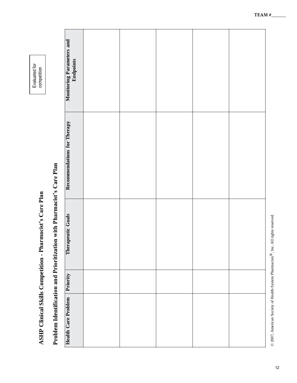Problem Identification and Prioritization with Pharmacist's Care Plan **Problem Identification and Prioritization with Pharmacist's Care Plan**

| Monitoring Parameters and<br>Endpoints |  |  |  |
|----------------------------------------|--|--|--|
| Recommendations for Therapy            |  |  |  |
| Therapeutic Goals                      |  |  |  |
|                                        |  |  |  |
| <b>Health Care Problem</b> Priority    |  |  |  |

© 2007, American Society of Health-System Pharmacists®, Inc. All rights reserved. © 2007, American Society of Health-System Pharmacists®, Inc. All rights reserved.

Evaluated for<br>competition Evaluated for competition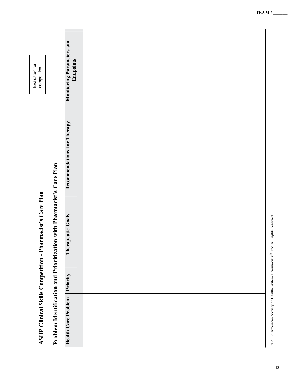Evaluated for competition

Evaluated for<br>competition

Problem Identification and Prioritization with Pharmacist's Care Plan **Problem Identification and Prioritization with Pharmacist's Care Plan**

| Monitoring Parameters and<br>Endpoints |  |  |  |
|----------------------------------------|--|--|--|
| Recommendations for Therapy            |  |  |  |
| Therapeutic Goals                      |  |  |  |
| Priority                               |  |  |  |
| Health Care Problem                    |  |  |  |

© 2007, American Society of Health-System Pharmacists®, Inc. All rights reserved. © 2007, American Society of Health-System Pharmacists®, Inc. All rights reserved.

13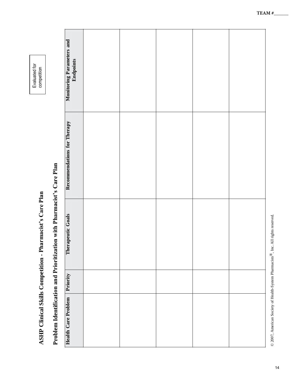Problem Identification and Prioritization with Pharmacist's Care Plan **Problem Identification and Prioritization with Pharmacist's Care Plan**

| <b>Monitoring Parameters and<br/>Endpoints</b> |  |  |  |
|------------------------------------------------|--|--|--|
| Recommendations for Therapy                    |  |  |  |
| Therapeutic Goals                              |  |  |  |
| Priority                                       |  |  |  |
| Health Care Problem                            |  |  |  |

© 2007, American Society of Health-System Pharmacists®, Inc. All rights reserved. © 2007, American Society of Health-System Pharmacists®, Inc. All rights reserved.

Evaluated for<br>competition Evaluated for competition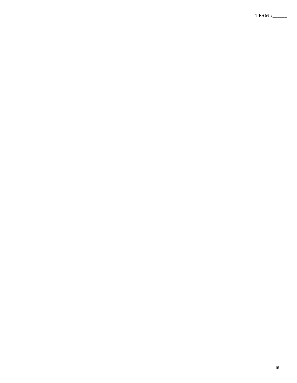**TEAM #\_\_\_\_\_\_**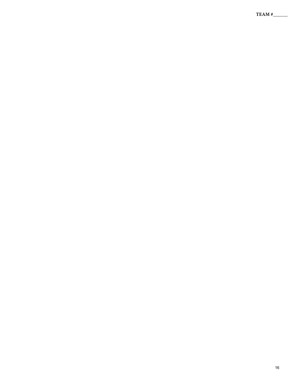**TEAM #\_\_\_\_\_\_**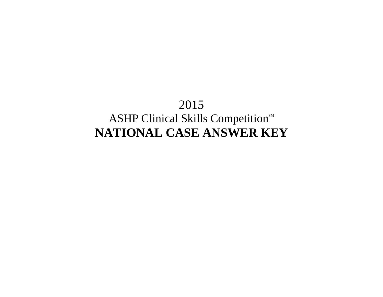### 2015 ASHP Clinical Skills Competition<sup>SM</sup> **NATIONAL CASE ANSWER KEY**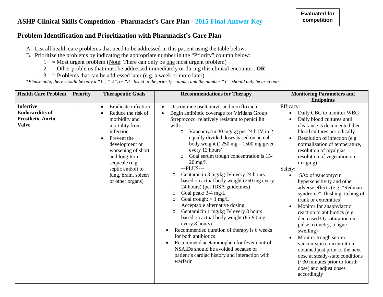#### **ASHP Clinical Skills Competition - Pharmacist's Care Plan - 2015 Final Answer Key**

#### **Problem Identification and Prioritization with Pharmacist's Care Plan**

- A. List all health care problems that need to be addressed in this patient using the table below.
- B. Prioritize the problems by indicating the appropriate number in the "Priority" column below:
	- $1 =$  Most urgent problem (Note: There can only be <u>one</u> most urgent problem)
	- 2 = Other problems that must be addressed immediately or during this clinical encounter; **OR**
	- $3$  = Problems that can be addressed later (e.g. a week or more later)

\**Please note, there should be only a "1", " 2", or "3" listed in the priority column, and the number "1" should only be used onc*e.

| <b>Health Care Problem</b>                                                             | <b>Priority</b> | <b>Therapeutic Goals</b>                                                                                                                                                                                                                                                                  | <b>Recommendations for Therapy</b>                                                                                                                                                                                                                                                                                                                                                                                                                                                                                                                                                                                                                                                                                                                                                                                                                                                                                                                                                                                                              | <b>Monitoring Parameters and</b><br><b>Endpoints</b>                                                                                                                                                                                                                                                                                                                                                                                                                                                                                                                                                                                                                                                                                                                                             |
|----------------------------------------------------------------------------------------|-----------------|-------------------------------------------------------------------------------------------------------------------------------------------------------------------------------------------------------------------------------------------------------------------------------------------|-------------------------------------------------------------------------------------------------------------------------------------------------------------------------------------------------------------------------------------------------------------------------------------------------------------------------------------------------------------------------------------------------------------------------------------------------------------------------------------------------------------------------------------------------------------------------------------------------------------------------------------------------------------------------------------------------------------------------------------------------------------------------------------------------------------------------------------------------------------------------------------------------------------------------------------------------------------------------------------------------------------------------------------------------|--------------------------------------------------------------------------------------------------------------------------------------------------------------------------------------------------------------------------------------------------------------------------------------------------------------------------------------------------------------------------------------------------------------------------------------------------------------------------------------------------------------------------------------------------------------------------------------------------------------------------------------------------------------------------------------------------------------------------------------------------------------------------------------------------|
| <b>Infective</b><br><b>Endocarditis of</b><br><b>Prosthetic Aortic</b><br><b>Valve</b> |                 | Eradicate infection<br>$\bullet$<br>Reduce the risk of<br>$\bullet$<br>morbidity and<br>mortality from<br>infection<br>Prevent the<br>$\bullet$<br>development or<br>worsening of short<br>and long-term<br>sequeale (e.g.<br>septic emboli to<br>lung, brain, spleen<br>or other organs) | Discontinue oseltamivir and moxfloxacin<br>$\bullet$<br>Begin antibiotic coverage for Viridans Group<br>$\bullet$<br>Streptococci relatively resistant to penicillin<br>with:<br>Vancomycin 30 mg/kg per 24 h IV in 2<br>$\circ$<br>equally divided doses based on actual<br>body weight $(1250 \text{ mg} - 1500 \text{ mg} \text{ given})$<br>every 12 hours)<br>Goal serum trough concentration is 15-<br>$\circ$<br>$20 \text{ mg/L}$<br>$--$ PLUS $--$<br>Gentamicin 3 mg/kg IV every 24 hours<br>$\circ$<br>based on actual body weight (250 mg every<br>24 hours) (per IDSA guidelines)<br>Goal peak: 3-4 mg/L<br>$\circ$<br>Goal trough: $< 1$ mg/L<br>$\circ$<br>Acceptable alternative dosing:<br>Gentamicin 1 mg/kg IV every 8 hours<br>$\circ$<br>based on actual body weight (85-90 mg)<br>every 8 hours)<br>Recommended duration of therapy is 6 weeks<br>for both antibiotics<br>Recommend acetaminophen for fever control.<br>NSAIDs should be avoided because of<br>patient's cardiac history and interaction with<br>warfarin | Efficacy:<br>Daily CBC to monitor WBC<br>Daily blood cultures until<br>clearance is documented then<br>blood cultures periodically<br>Resolution of infection (e.g.<br>normalization of temperature,<br>resolution of myalgias,<br>resolution of vegetation on<br>imaging)<br>Safety:<br>S/sx of vancomycin<br>hypersensitivity and other<br>adverse effects (e.g. "Redman<br>syndrome", flushing, itching of<br>trunk or extremities)<br>Monitor for anaphylactic<br>reaction to antibiotics (e.g.<br>decreased $O_2$ saturation on<br>pulse oximetry, tongue<br>swelling)<br>Monitor trough serum<br>vancomycin concentration<br>obtained just prior to the next<br>dose at steady-state conditions<br>$\left(\sim 30\right)$ minutes prior to fourth<br>dose) and adjust doses<br>accordingly |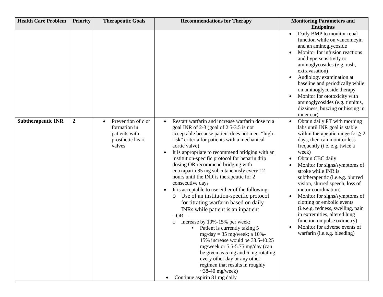| <b>Health Care Problem</b> | <b>Priority</b>  | <b>Therapeutic Goals</b>                                                          | <b>Recommendations for Therapy</b>                                                                                                                                                                                                                                                                                                                                                                                                                                                                                                                                                                                                                                                                                                                                                                                                                                                                                                                                                                                           | <b>Monitoring Parameters and</b>                                                                                                                                                                                                                                                                                                                                                                                                                                                                                                                                                                  |
|----------------------------|------------------|-----------------------------------------------------------------------------------|------------------------------------------------------------------------------------------------------------------------------------------------------------------------------------------------------------------------------------------------------------------------------------------------------------------------------------------------------------------------------------------------------------------------------------------------------------------------------------------------------------------------------------------------------------------------------------------------------------------------------------------------------------------------------------------------------------------------------------------------------------------------------------------------------------------------------------------------------------------------------------------------------------------------------------------------------------------------------------------------------------------------------|---------------------------------------------------------------------------------------------------------------------------------------------------------------------------------------------------------------------------------------------------------------------------------------------------------------------------------------------------------------------------------------------------------------------------------------------------------------------------------------------------------------------------------------------------------------------------------------------------|
|                            |                  |                                                                                   |                                                                                                                                                                                                                                                                                                                                                                                                                                                                                                                                                                                                                                                                                                                                                                                                                                                                                                                                                                                                                              | <b>Endpoints</b><br>Daily BMP to monitor renal<br>function while on vancomeyin<br>and an aminoglycoside<br>Monitor for infusion reactions<br>and hypersensitivity to<br>aminoglycosides (e.g. rash,<br>extravasation)<br>Audiology examination at<br>baseline and periodically while<br>on aminoglycoside therapy<br>Monitor for ototoxicity with<br>aminoglycosides (e.g. tinnitus,<br>dizziness, buzzing or hissing in<br>inner ear)                                                                                                                                                            |
| <b>Subtherapeutic INR</b>  | $\boldsymbol{2}$ | Prevention of clot<br>formation in<br>patients with<br>prosthetic heart<br>valves | Restart warfarin and increase warfarin dose to a<br>goal INR of $2-3$ (goal of $2.5-3.5$ is not<br>acceptable because patient does not meet "high-<br>risk" criteria for patients with a mechanical<br>aortic valve)<br>It is appropriate to recommend bridging with an<br>institution-specific protocol for heparin drip<br>dosing OR recommend bridging with<br>enoxaparin 85 mg subcutaneously every 12<br>hours until the INR is therapeutic for 2<br>consecutive days<br>It is acceptable to use either of the following:<br>o Use of an institution-specific protocol<br>for titrating warfarin based on daily<br>INRs while patient is an inpatient<br>$-OR$ —<br>Increase by 10%-15% per week:<br>$\circ$<br>Patient is currently taking 5<br>$mg/day = 35$ mg/week; a 10%-<br>15% increase would be 38.5-40.25<br>mg/week or 5.5-5.75 mg/day (can<br>be given as 5 mg and 6 mg rotating<br>every other day or any other<br>regimen that results in roughly<br>$\sim$ 38-40 mg/week)<br>Continue aspirin 81 mg daily | Obtain daily PT with morning<br>labs until INR goal is stable<br>within the<br>rapeutic range for $\geq 2$<br>days, then can monitor less<br>frequently (i.e. e.g. twice a<br>week)<br>Obtain CBC daily<br>Monitor for signs/symptoms of<br>stroke while INR is<br>subtherapeutic (i.e.e.g. blurred<br>vision, slurred speech, loss of<br>motor coordination)<br>Monitor for signs/symptoms of<br>clotting or embolic events<br>(i.e.e.g. redness, swelling, pain<br>in extremities, altered lung<br>function on pulse oximetry)<br>Monitor for adverse events of<br>warfarin (i.e.e.g. bleeding) |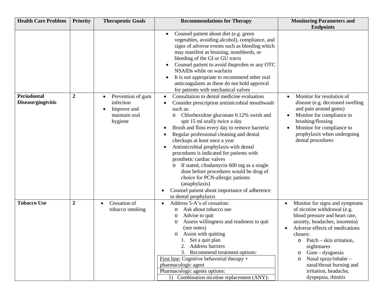| <b>Health Care Problem</b>               | <b>Priority</b>  | <b>Therapeutic Goals</b>                                                  | <b>Recommendations for Therapy</b>                                                                                                                                                                                                                                                                                                                                                                                                                                                                                                                                                                                                                                                                                                                                                                                                                                                                                                                       | <b>Monitoring Parameters and</b>                                                                                                                                                                                                                                                                                                                                                                 |  |
|------------------------------------------|------------------|---------------------------------------------------------------------------|----------------------------------------------------------------------------------------------------------------------------------------------------------------------------------------------------------------------------------------------------------------------------------------------------------------------------------------------------------------------------------------------------------------------------------------------------------------------------------------------------------------------------------------------------------------------------------------------------------------------------------------------------------------------------------------------------------------------------------------------------------------------------------------------------------------------------------------------------------------------------------------------------------------------------------------------------------|--------------------------------------------------------------------------------------------------------------------------------------------------------------------------------------------------------------------------------------------------------------------------------------------------------------------------------------------------------------------------------------------------|--|
| <b>Periodontal</b><br>Disease/gingivitis | $\boldsymbol{2}$ | Prevention of gum<br>infection<br>Improve and<br>maintain oral<br>hygiene | Counsel patient about diet (e.g. green<br>vegetables, avoiding alcohol), compliance, and<br>signs of adverse events such as bleeding which<br>may manifest as bruising, nosebleeds, or<br>bleeding of the GI or GU tracts<br>Counsel patient to avoid ibuprofen or any OTC<br>NSAIDs while on warfarin<br>It is not appropriate to recommend other oral<br>anticoagulants as these do not hold approval<br>for patients with mechanical valves<br>Consultation to dental medicine evaluation<br>Consider prescription antimicrobial mouthwash<br>such as:<br>Chlorhexidine gluconate 0.12% swish and<br>$\circ$<br>spit 15 ml orally twice a day<br>Brush and floss every day to remove bacteria<br>Regular professional cleaning and dental<br>checkups at least once a year<br>Antimicrobial prophylaxis with dental<br>procedures is indicated for patients with<br>prosthetic cardiac valves<br>If stated, clindamycin 600 mg as a single<br>$\circ$ | <b>Endpoints</b><br>Monitor for resolution of<br>disease (e.g. decreased swelling<br>and pain around gums)<br>Monitor for compliance to<br>brushing/flossing<br>Monitor for compliance to<br>prophylaxis when undergoing<br>dental procedures                                                                                                                                                    |  |
|                                          |                  |                                                                           | dose before procedures would be drug of<br>choice for PCN-allergic patients<br>(anaphylaxis)<br>Counsel patient about importance of adherence<br>to dental prophylaxis                                                                                                                                                                                                                                                                                                                                                                                                                                                                                                                                                                                                                                                                                                                                                                                   |                                                                                                                                                                                                                                                                                                                                                                                                  |  |
| <b>Tobacco Use</b>                       | $\boldsymbol{2}$ | Cessation of<br>$\bullet$<br>tobacco smoking                              | Address 5-A's of cessation:<br>$\bullet$<br>Ask about tobacco use<br>$\circ$<br>Advise to quit<br>O<br>Assess willingness and readiness to quit<br>O<br>(see notes)<br>Assist with quitting<br>$\circ$<br>1. Set a quit plan<br><b>Address barriers</b><br>2.<br>3. Recommend treatment options:<br>First line: Cognitive behavorial therapy $+$<br>pharmacologic agent<br>Pharmacologic agents options:<br>1) Combination nicotine replacement (ANY):                                                                                                                                                                                                                                                                                                                                                                                                                                                                                                   | Monitor for signs and symptoms<br>$\bullet$<br>of nicotine withdrawal (e.g.<br>blood pressure and heart rate,<br>anxiety, headaches, insomnia)<br>Adverse effects of medications<br>chosen:<br>Patch – skin irritation,<br>$\circ$<br>nightmares<br>$Gum - dysguesia$<br>$\circ$<br>Nasal spray/inhaler -<br>$\circ$<br>nasal/throat burning and<br>irritation, headache,<br>dyspepsia, rhinitis |  |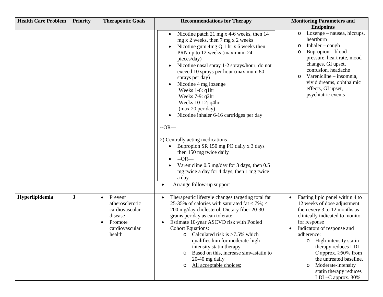| <b>Health Care Problem</b> | <b>Priority</b> | <b>Therapeutic Goals</b>                                                                                    | <b>Recommendations for Therapy</b>                                                                                                                                                                                                                                                                                                                                                                                                                                                                                                                                                                                                                                                                         | <b>Monitoring Parameters and</b>                                                                                                                                                                                                                                                                                                                                                                                |  |
|----------------------------|-----------------|-------------------------------------------------------------------------------------------------------------|------------------------------------------------------------------------------------------------------------------------------------------------------------------------------------------------------------------------------------------------------------------------------------------------------------------------------------------------------------------------------------------------------------------------------------------------------------------------------------------------------------------------------------------------------------------------------------------------------------------------------------------------------------------------------------------------------------|-----------------------------------------------------------------------------------------------------------------------------------------------------------------------------------------------------------------------------------------------------------------------------------------------------------------------------------------------------------------------------------------------------------------|--|
|                            |                 |                                                                                                             | Nicotine patch 21 mg x 4-6 weeks, then 14<br>mg x 2 weeks, then 7 mg x 2 weeks<br>Nicotine gum $4mgQ1$ hr x 6 weeks then<br>PRN up to 12 weeks (maximum 24<br>pieces/day)<br>Nicotine nasal spray 1-2 sprays/hour; do not<br>exceed 10 sprays per hour (maximum 80)<br>sprays per day)<br>Nicotine 4 mg lozenge<br>Weeks 1-6: q1hr<br>Weeks 7-9: q2hr<br>Weeks 10-12: q4hr<br>(max 20 per day)<br>Nicotine inhaler 6-16 cartridges per day<br>$-OR$ —<br>2) Centrally acting medications<br>Bupropion SR 150 mg PO daily x 3 days<br>then 150 mg twice daily<br>$-OR$ —<br>Varenicline 0.5 mg/day for 3 days, then 0.5<br>mg twice a day for 4 days, then 1 mg twice<br>a day<br>Arrange follow-up support | <b>Endpoints</b><br>Lozenge – nausea, hiccups,<br>$\circ$<br>heartburn<br>$Inhaler-cough$<br>O<br>Bupropion - blood<br>O<br>pressure, heart rate, mood<br>changes, GI upset,<br>confusion, headache<br>Varenicline – insomnia,<br>vivid dreams, ophthalmic<br>effects, GI upset,<br>psychiatric events                                                                                                          |  |
| Hyperlipidemia             | $\mathbf{3}$    | Prevent<br>$\bullet$<br>atherosclerotic<br>cardiovascular<br>disease<br>Promote<br>cardiovascular<br>health | Therapeutic lifestyle changes targeting total fat<br>25-35% of calories with saturated fat $<$ 7%; $<$<br>200 mg/day cholesterol, Dietary fiber 20-30<br>grams per day as can tolerate<br>Estimate 10-year ASCVD risk with Pooled<br><b>Cohort Equations:</b><br>Calculated risk is $>7.5\%$ which<br>O<br>qualifies him for moderate-high<br>intensity statin therapy<br>Based on this, increase simvastatin to<br>$\circ$<br>$20-40$ mg daily<br>All acceptable choices:<br>$\circ$                                                                                                                                                                                                                      | Fasting lipid panel within 4 to<br>$\bullet$<br>12 weeks of dose adjustment<br>then every 3 to 12 months as<br>clinically indicated to monitor<br>for response<br>Indicators of response and<br>adherence:<br>High-intensity statin<br>$\circ$<br>therapy reduces LDL-<br>C approx. $\geq 50\%$ from<br>the untreated baseline.<br>Moderate-intensity<br>$\circ$<br>statin therapy reduces<br>LDL-C approx. 30% |  |